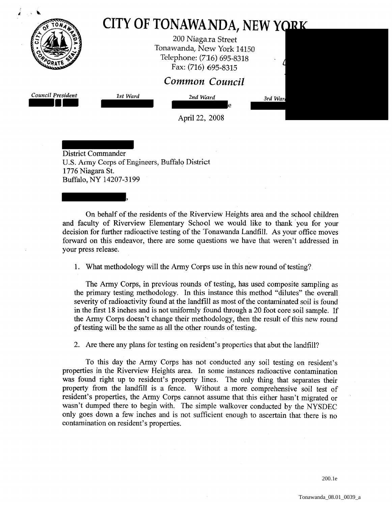|                                               |                        | 200 Niagara Street<br>Tonawanda, New York 14150<br>Telephone: (716) 695-8318<br>Fax: (716) 695-8315 |         |
|-----------------------------------------------|------------------------|-----------------------------------------------------------------------------------------------------|---------|
|                                               |                        | Common Council                                                                                      |         |
| Council President                             | 1st Ward               | 2nd Ward<br>le                                                                                      | 3rd War |
|                                               |                        | April 22, 2008                                                                                      |         |
| <b>District Commander</b><br>1776 Niagara St. | Buffalo, NY 14207-3199 | U.S. Army Corps of Engineers, Buffalo District                                                      |         |

On behalf of the residents of the Riverview Heights area and the school children and faculty of Riverview Elementary School we would like to thank you for your decision for further radioactive testing of the Tonawanda Landfill. As your office moves forward on this endeavor, there are some questions we have that weren't addressed in your press release.

1. What methodology will the Army Corps use in this new round of testing?

The Army Corps, in previous rounds of testing, has used composite sampling as the primary testing methodology. In this instance this method '"dilutes" the overall severity of radioactivity found at the landfill as most of the contaminated soil is found in the first 18 inches and is not uniformly found through a 20 foot core soil sample. If the Army Corps doesn't change their methodology, then the result of this new round of testing will be the same as all the other rounds of testing.

2. Are there any plans for testing on resident's properties that abut the landfill?

To this day the Army Corps has not conducted any soil testing on resident's properties in the Riverview Heights area. In some instances radioactive contamination was found right up to resident's property lines. The only thing that separates their property from the landfill is a fence. Without a more comprehensive soil test of resident's properties, the Army Corps cannot assume that this either hasn't migrated or wasn't dumped there to begin with. The simple walkover conducted by the NYSDEC only goes down a few inches and is not sufficient enough to ascertain that there is no contamination on resident's properties.